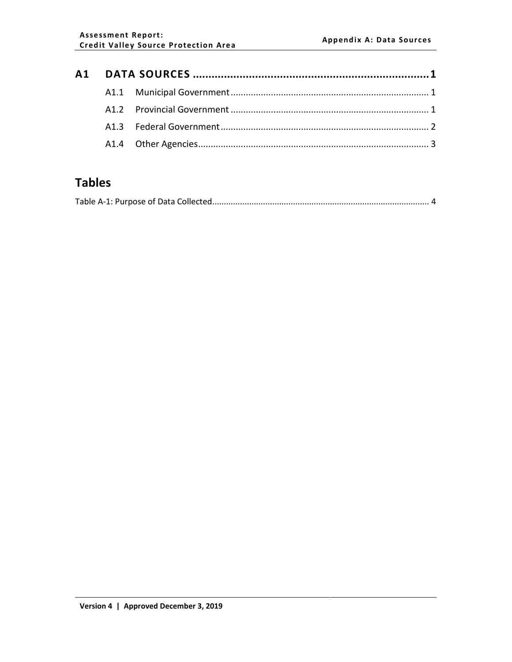# **Tables**

|--|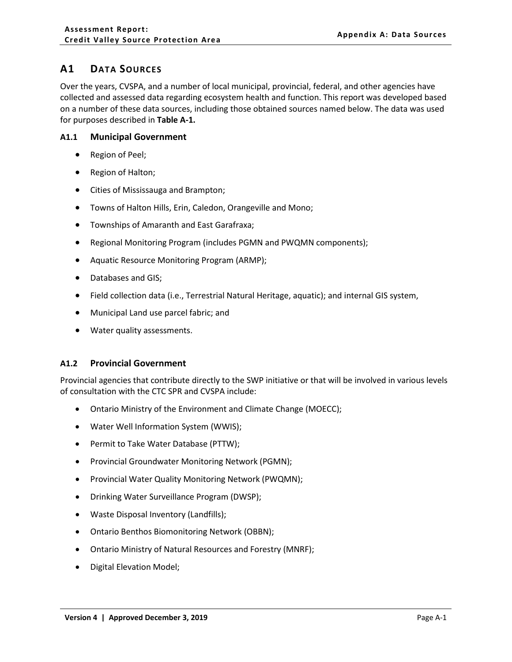## <span id="page-1-0"></span>**A1 DATA SOURCES**

Over the years, CVSPA, and a number of local municipal, provincial, federal, and other agencies have collected and assessed data regarding ecosystem health and function. This report was developed based on a number of these data sources, including those obtained sources named below. The data was used for purposes described in **Table A-1.**

### <span id="page-1-1"></span>**A1.1 Municipal Government**

- Region of Peel;
- Region of Halton;
- Cities of Mississauga and Brampton;
- Towns of Halton Hills, Erin, Caledon, Orangeville and Mono;
- Townships of Amaranth and East Garafraxa;
- Regional Monitoring Program (includes PGMN and PWQMN components);
- Aquatic Resource Monitoring Program (ARMP);
- Databases and GIS;
- Field collection data (i.e., Terrestrial Natural Heritage, aquatic); and internal GIS system,
- Municipal Land use parcel fabric; and
- Water quality assessments.

## <span id="page-1-2"></span>**A1.2 Provincial Government**

Provincial agencies that contribute directly to the SWP initiative or that will be involved in various levels of consultation with the CTC SPR and CVSPA include:

- Ontario Ministry of the Environment and Climate Change (MOECC);
- Water Well Information System (WWIS);
- Permit to Take Water Database (PTTW);
- Provincial Groundwater Monitoring Network (PGMN);
- Provincial Water Quality Monitoring Network (PWQMN);
- Drinking Water Surveillance Program (DWSP);
- Waste Disposal Inventory (Landfills);
- Ontario Benthos Biomonitoring Network (OBBN);
- Ontario Ministry of Natural Resources and Forestry (MNRF);
- Digital Elevation Model;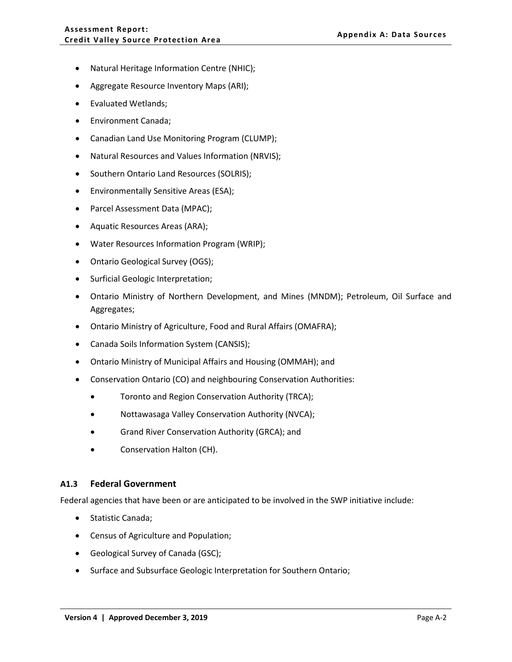- Natural Heritage Information Centre (NHIC);
- Aggregate Resource Inventory Maps (ARI);
- Evaluated Wetlands;
- Environment Canada;
- Canadian Land Use Monitoring Program (CLUMP);
- Natural Resources and Values Information (NRVIS);
- Southern Ontario Land Resources (SOLRIS);
- Environmentally Sensitive Areas (ESA);
- Parcel Assessment Data (MPAC);
- Aquatic Resources Areas (ARA);
- Water Resources Information Program (WRIP);
- Ontario Geological Survey (OGS);
- Surficial Geologic Interpretation;
- Ontario Ministry of Northern Development, and Mines (MNDM); Petroleum, Oil Surface and Aggregates;
- Ontario Ministry of Agriculture, Food and Rural Affairs (OMAFRA);
- Canada Soils Information System (CANSIS);
- Ontario Ministry of Municipal Affairs and Housing (OMMAH); and
- Conservation Ontario (CO) and neighbouring Conservation Authorities:
	- Toronto and Region Conservation Authority (TRCA);
	- Nottawasaga Valley Conservation Authority (NVCA);
	- Grand River Conservation Authority (GRCA); and
	- Conservation Halton (CH).

#### <span id="page-2-0"></span>**A1.3 Federal Government**

Federal agencies that have been or are anticipated to be involved in the SWP initiative include:

- Statistic Canada;
- Census of Agriculture and Population;
- Geological Survey of Canada (GSC);
- Surface and Subsurface Geologic Interpretation for Southern Ontario;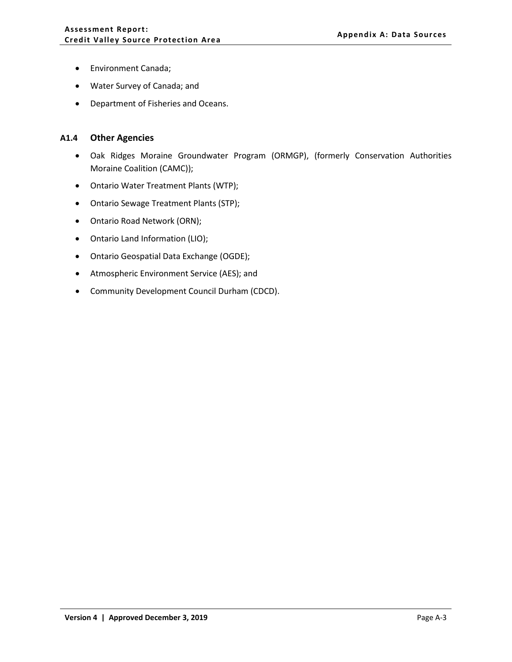- Environment Canada;
- Water Survey of Canada; and
- Department of Fisheries and Oceans.

#### <span id="page-3-0"></span>**A1.4 Other Agencies**

- Oak Ridges Moraine Groundwater Program (ORMGP), (formerly Conservation Authorities Moraine Coalition (CAMC));
- Ontario Water Treatment Plants (WTP);
- Ontario Sewage Treatment Plants (STP);
- Ontario Road Network (ORN);
- Ontario Land Information (LIO);
- Ontario Geospatial Data Exchange (OGDE);
- Atmospheric Environment Service (AES); and
- Community Development Council Durham (CDCD).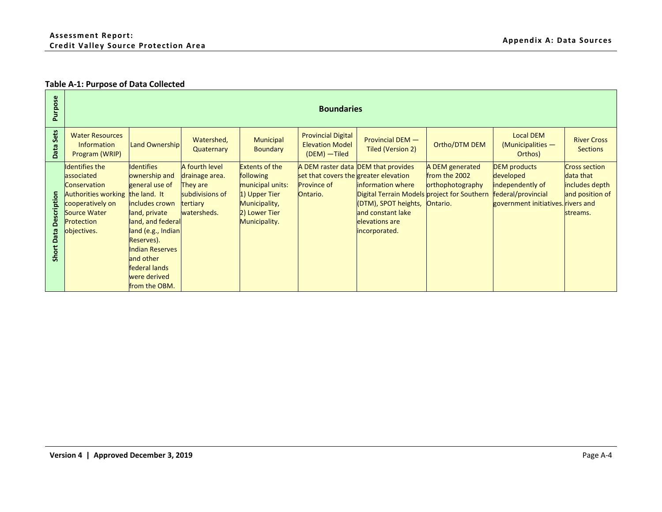## **Table A-1: Purpose of Data Collected**

<span id="page-4-0"></span>

| ose<br>$\sim$                       |                                                                                                                                                                        | <b>Boundaries</b>                                                                                                                                                                                                                         |                                                                                            |                                                                                                                            |                                                                         |                                                                                                                                                                                                |                                                                  |                                                                                                                  |                                                                                    |  |  |  |  |
|-------------------------------------|------------------------------------------------------------------------------------------------------------------------------------------------------------------------|-------------------------------------------------------------------------------------------------------------------------------------------------------------------------------------------------------------------------------------------|--------------------------------------------------------------------------------------------|----------------------------------------------------------------------------------------------------------------------------|-------------------------------------------------------------------------|------------------------------------------------------------------------------------------------------------------------------------------------------------------------------------------------|------------------------------------------------------------------|------------------------------------------------------------------------------------------------------------------|------------------------------------------------------------------------------------|--|--|--|--|
| Sets<br><b>Data</b>                 | <b>Water Resources</b><br><b>Information</b><br>Program (WRIP)                                                                                                         | <b>Land Ownership</b>                                                                                                                                                                                                                     | Watershed,<br>Quaternary                                                                   | Municipal<br><b>Boundary</b>                                                                                               | <b>Provincial Digital</b><br><b>Elevation Model</b><br>(DEM) - Tiled    | Provincial DEM -<br>Tiled (Version 2)                                                                                                                                                          | Ortho/DTM DEM                                                    | <b>Local DEM</b><br>$(Municipalities - )$<br>Orthos)                                                             | <b>River Cross</b><br><b>Sections</b>                                              |  |  |  |  |
| ption<br>ă<br>ata<br>$\circ$<br>Sho | <b>Identifies the</b><br>associated<br><b>Conservation</b><br>Authorities working the land. It<br>cooperatively on<br><b>Source Water</b><br>Protection<br>objectives. | <b>Identifies</b><br>ownership and<br>general use of<br>includes crown<br>land, private<br>land, and federal<br>land (e.g., Indian<br>Reserves).<br><b>Indian Reserves</b><br>and other<br>federal lands<br>were derived<br>from the OBM. | A fourth level<br>drainage area.<br>They are<br>subdivisions of<br>tertiary<br>watersheds. | <b>Extents of the</b><br>following<br>municipal units:<br>1) Upper Tier<br>Municipality,<br>2) Lower Tier<br>Municipality. | set that covers the greater elevation<br><b>Province of</b><br>Ontario. | A DEM raster data DEM that provides<br><b>information where</b><br>Digital Terrain Models project for Southern<br>(DTM), SPOT heights,<br>and constant lake<br>elevations are<br>incorporated. | A DEM generated<br>from the 2002<br>orthophotography<br>Ontario. | <b>DEM</b> products<br>developed<br>independently of<br>federal/provincial<br>government initiatives. rivers and | <b>Cross section</b><br>data that<br>includes depth<br>and position of<br>streams. |  |  |  |  |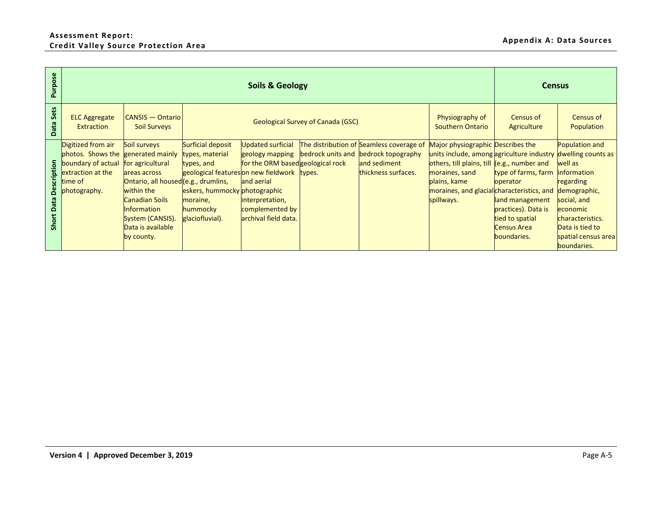## **Assessment Report: Credit Valley Source Protection Area Appendix A: Data Sources**

| Purpose                |                                                                                                               |                                                                                                                                                                                                                           |                                                                                                                                                                              | <b>Census</b>                                                                                                                                                |                                          |                                                                                                                         |                                                                                                                                                                                                                                           |                                                                                                                                                        |                                                                                                                                                               |
|------------------------|---------------------------------------------------------------------------------------------------------------|---------------------------------------------------------------------------------------------------------------------------------------------------------------------------------------------------------------------------|------------------------------------------------------------------------------------------------------------------------------------------------------------------------------|--------------------------------------------------------------------------------------------------------------------------------------------------------------|------------------------------------------|-------------------------------------------------------------------------------------------------------------------------|-------------------------------------------------------------------------------------------------------------------------------------------------------------------------------------------------------------------------------------------|--------------------------------------------------------------------------------------------------------------------------------------------------------|---------------------------------------------------------------------------------------------------------------------------------------------------------------|
| Data Sets              | <b>ELC Aggregate</b><br>Extraction                                                                            | <b>CANSIS</b> - Ontario<br><b>Soil Surveys</b>                                                                                                                                                                            |                                                                                                                                                                              |                                                                                                                                                              | <b>Geological Survey of Canada (GSC)</b> |                                                                                                                         | Physiography of<br><b>Southern Ontario</b>                                                                                                                                                                                                | <b>Census of</b><br>Agriculture                                                                                                                        | Census of<br>Population                                                                                                                                       |
| Short Data Description | Digitized from air<br>photos. Shows the<br>boundary of actual<br>extraction at the<br>time of<br>photography. | Soil surveys<br>generated mainly<br>for agricultural<br>areas across<br>Ontario, all housed (e.g., drumlins,<br>within the<br><b>Canadian Soils</b><br>Information<br>System (CANSIS).<br>Data is available<br>by county. | <b>Surficial deposit</b><br>types, material<br>types, and<br>geological featureson new fieldwork<br>eskers, hummocky photographic<br>moraine,<br>hummocky<br>glaciofluvial). | <b>Updated surficial</b><br>geology mapping<br>for the ORM based geological rock<br>and aerial<br>interpretation,<br>complemented by<br>archival field data. | types.                                   | The distribution of Seamless coverage of<br>bedrock units and bedrock topography<br>and sediment<br>thickness surfaces. | Major physiographic Describes the<br>units include, among agriculture industry dwelling counts as<br>others, till plains, till<br>moraines, sand<br>plains, kame<br>moraines, and glacial characteristics, and demographic,<br>spillways. | (e.g., number and<br>type of farms, farm<br>operator<br>land management<br>practices). Data is<br>tied to spatial<br><b>Census Area</b><br>boundaries. | Population and<br>well as<br>information<br>regarding<br>social, and<br>economic<br>characteristics.<br>Data is tied to<br>spatial census area<br>boundaries. |
|                        | Version 4   Approved December 3, 2019                                                                         |                                                                                                                                                                                                                           |                                                                                                                                                                              |                                                                                                                                                              |                                          |                                                                                                                         |                                                                                                                                                                                                                                           |                                                                                                                                                        | Page A-5                                                                                                                                                      |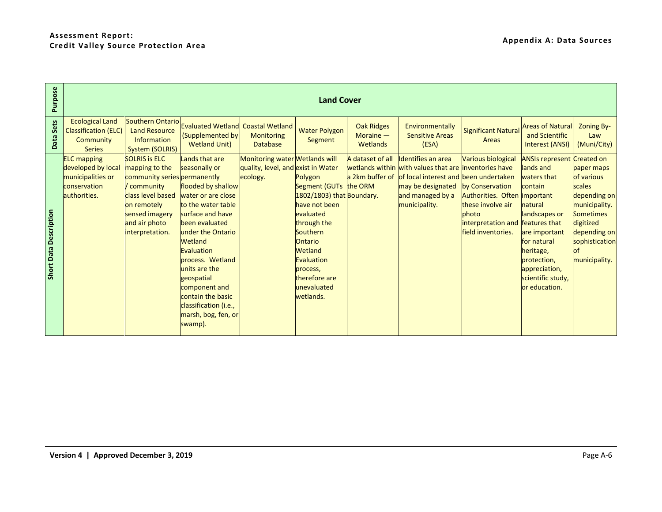| Purpose                |                                                                                               |                                                                                                                                                                                 |                                                                                                                                                                                                                                                                                                                                           |                                                                                  | <b>Land Cover</b>                                                                                                                                                                                                                 |                                              |                                                                                                                                                                                                       |                                                                                                                                                            |                                                                                                                                                                                                                                      |                                                                                                                                                               |
|------------------------|-----------------------------------------------------------------------------------------------|---------------------------------------------------------------------------------------------------------------------------------------------------------------------------------|-------------------------------------------------------------------------------------------------------------------------------------------------------------------------------------------------------------------------------------------------------------------------------------------------------------------------------------------|----------------------------------------------------------------------------------|-----------------------------------------------------------------------------------------------------------------------------------------------------------------------------------------------------------------------------------|----------------------------------------------|-------------------------------------------------------------------------------------------------------------------------------------------------------------------------------------------------------|------------------------------------------------------------------------------------------------------------------------------------------------------------|--------------------------------------------------------------------------------------------------------------------------------------------------------------------------------------------------------------------------------------|---------------------------------------------------------------------------------------------------------------------------------------------------------------|
| Data Sets              | <b>Ecological Land</b><br><b>Classification (ELC)</b><br><b>Community</b><br><b>Series</b>    | <b>Southern Ontario</b><br><b>Land Resource</b><br>Information<br><b>System (SOLRIS)</b>                                                                                        | <b>Evaluated Wetland</b><br>(Supplemented by<br><b>Wetland Unit)</b>                                                                                                                                                                                                                                                                      | <b>Coastal Wetland</b><br><b>Monitoring</b><br><b>Database</b>                   | <b>Water Polygon</b><br>Segment                                                                                                                                                                                                   | <b>Oak Ridges</b><br>Moraine $-$<br>Wetlands | Environmentally<br><b>Sensitive Areas</b><br>(ESA)                                                                                                                                                    | <b>Significant Natural</b><br><b>Areas</b>                                                                                                                 | <b>Areas of Natural</b><br>and Scientific<br><b>Interest (ANSI)</b>                                                                                                                                                                  | <b>Zoning By-</b><br>Law<br>(Muni/City)                                                                                                                       |
| Short Data Description | <b>ELC</b> mapping<br>developed by local<br>municipalities or<br>conservation<br>authorities. | <b>SOLRIS is ELC</b><br>mapping to the<br>community series permanently<br>/ community<br>class level based<br>on remotely<br>sensed imagery<br>and air photo<br>interpretation. | Lands that are<br>seasonally or<br>flooded by shallow<br>water or are close<br>to the water table<br>surface and have<br>been evaluated<br>under the Ontario<br>Wetland<br>Evaluation<br>process. Wetland<br>units are the<br>geospatial<br>component and<br>contain the basic<br>classification (i.e.,<br>marsh, bog, fen, or<br>swamp). | Monitoring water Wetlands will<br>quality, level, and exist in Water<br>ecology. | Polygon<br>Segment (GUTs the ORM<br>1802/1803) that Boundary.<br>have not been<br>evaluated<br>through the<br>Southern<br><b>Ontario</b><br><b>Wetland</b><br>Evaluation<br>process,<br>therefore are<br>unevaluated<br>wetlands. | A dataset of all                             | <b>Identifies an area</b><br>wetlands within with values that are inventories have<br>a 2km buffer of of local interest and been undertaken<br>may be designated<br>and managed by a<br>municipality. | <b>Various biological</b><br>by Conservation<br>Authorities. Often<br>these involve air<br>photo<br>interpretation and features that<br>field inventories. | <b>ANSIs represent Created on</b><br>lands and<br>waters that<br>contain<br>important<br>natural<br>landscapes or<br>are important<br>for natural<br>heritage,<br>protection,<br>appreciation,<br>scientific study,<br>or education. | paper maps<br>of various<br>scales<br>depending on<br>municipality.<br><b>Sometimes</b><br>digitized<br>depending on<br>sophistication<br>of<br>municipality. |
|                        |                                                                                               |                                                                                                                                                                                 |                                                                                                                                                                                                                                                                                                                                           |                                                                                  |                                                                                                                                                                                                                                   |                                              |                                                                                                                                                                                                       |                                                                                                                                                            |                                                                                                                                                                                                                                      |                                                                                                                                                               |
|                        | Version 4   Approved December 3, 2019                                                         |                                                                                                                                                                                 |                                                                                                                                                                                                                                                                                                                                           |                                                                                  |                                                                                                                                                                                                                                   |                                              |                                                                                                                                                                                                       |                                                                                                                                                            |                                                                                                                                                                                                                                      | Page A-6                                                                                                                                                      |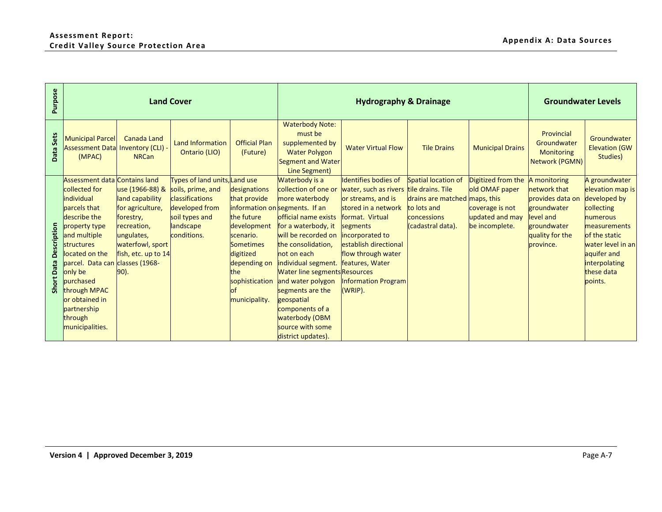| Purpose                          |                                                                                                                                                                                                                                                                                                                       |                                                                                                                                                     | <b>Land Cover</b>                                                                                                                     |                                                                                                                                                                         |                                                                                                                                                                                                                                                                                                                                                                                                                     | <b>Hydrography &amp; Drainage</b>                                                                                                                                                                                                           |                                                                                                                              |                                                                                              | <b>Groundwater Levels</b>                                                                                                   |                                                                                                                                                                                                   |
|----------------------------------|-----------------------------------------------------------------------------------------------------------------------------------------------------------------------------------------------------------------------------------------------------------------------------------------------------------------------|-----------------------------------------------------------------------------------------------------------------------------------------------------|---------------------------------------------------------------------------------------------------------------------------------------|-------------------------------------------------------------------------------------------------------------------------------------------------------------------------|---------------------------------------------------------------------------------------------------------------------------------------------------------------------------------------------------------------------------------------------------------------------------------------------------------------------------------------------------------------------------------------------------------------------|---------------------------------------------------------------------------------------------------------------------------------------------------------------------------------------------------------------------------------------------|------------------------------------------------------------------------------------------------------------------------------|----------------------------------------------------------------------------------------------|-----------------------------------------------------------------------------------------------------------------------------|---------------------------------------------------------------------------------------------------------------------------------------------------------------------------------------------------|
| Data Sets                        | <b>Municipal Parcel</b><br><b>Assessment Data</b><br>(MPAC)                                                                                                                                                                                                                                                           | <b>Canada Land</b><br>Inventory (CLI) -<br><b>NRCan</b>                                                                                             | <b>Land Information</b><br>Ontario (LIO)                                                                                              | <b>Official Plan</b><br>(Future)                                                                                                                                        | <b>Waterbody Note:</b><br>must be<br>supplemented by<br><b>Water Polygon</b><br><b>Segment and Water</b><br>Line Segment)                                                                                                                                                                                                                                                                                           | <b>Water Virtual Flow</b>                                                                                                                                                                                                                   | <b>Tile Drains</b>                                                                                                           | <b>Municipal Drains</b>                                                                      | Provincial<br>Groundwater<br>Monitoring<br>Network (PGMN)                                                                   | Groundwater<br><b>Elevation (GW</b><br>Studies)                                                                                                                                                   |
| Description<br><b>Short Data</b> | <b>Assessment data Contains land</b><br>collected for<br>individual<br>parcels that<br>describe the<br>property type<br>and multiple<br><b>structures</b><br>located on the<br>parcel. Data can classes (1968-<br>only be<br>purchased<br>through MPAC<br>or obtained in<br>partnership<br>through<br>municipalities. | use (1966-88) &<br>land capability<br>for agriculture,<br>forestry,<br>recreation,<br>ungulates,<br>waterfowl, sport<br>fish, etc. up to 14<br>90). | Types of land units, Land use<br>soils, prime, and<br>classifications<br>developed from<br>soil types and<br>landscape<br>conditions. | designations<br>that provide<br>the future<br>development<br>scenario.<br><b>Sometimes</b><br>digitized<br>depending on<br>the<br>sophistication<br>of<br>municipality. | Waterbody is a<br>collection of one or<br>more waterbody<br>information on segments. If an<br>official name exists<br>for a waterbody, it<br>will be recorded on<br>the consolidation,<br>not on each<br>individual segment. features, Water<br>Water line segments Resources<br>and water polygon<br>segments are the<br>geospatial<br>components of a<br>waterbody (OBM<br>source with some<br>district updates). | <b>Identifies bodies of</b><br>water, such as rivers<br>or streams, and is<br>stored in a network<br>format. Virtual<br>segments<br>incorporated to<br>establish directional<br>flow through water<br><b>Information Program</b><br>(WRIP). | Spatial location of<br>tile drains. Tile<br>drains are matched maps, this<br>to lots and<br>concessions<br>(cadastral data). | Digitized from the<br>old OMAF paper<br>coverage is not<br>updated and may<br>be incomplete. | A monitoring<br>network that<br>provides data on<br>groundwater<br>level and<br>groundwater<br>quality for the<br>province. | A groundwater<br>elevation map is<br>developed by<br>collecting<br>numerous<br>measurements<br>of the static<br>water level in an<br>aquifer and<br><b>interpolating</b><br>these data<br>points. |
|                                  |                                                                                                                                                                                                                                                                                                                       |                                                                                                                                                     |                                                                                                                                       |                                                                                                                                                                         |                                                                                                                                                                                                                                                                                                                                                                                                                     |                                                                                                                                                                                                                                             |                                                                                                                              |                                                                                              |                                                                                                                             |                                                                                                                                                                                                   |
|                                  | Version 4   Approved December 3, 2019                                                                                                                                                                                                                                                                                 |                                                                                                                                                     |                                                                                                                                       |                                                                                                                                                                         |                                                                                                                                                                                                                                                                                                                                                                                                                     |                                                                                                                                                                                                                                             |                                                                                                                              |                                                                                              |                                                                                                                             | Page A-7                                                                                                                                                                                          |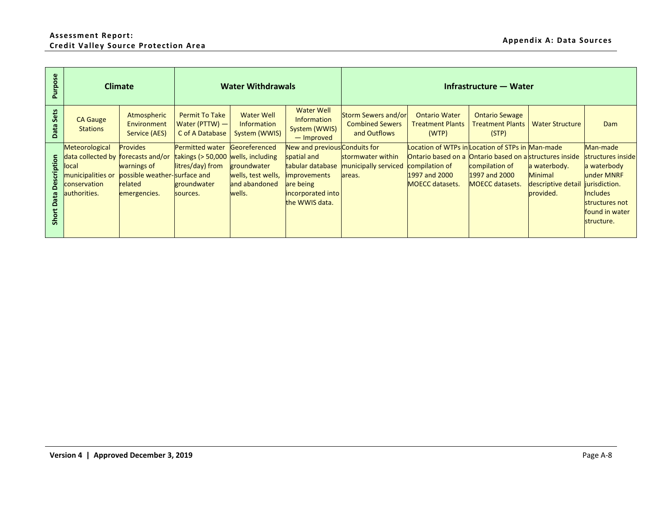## **Assessment Report: Credit Valley Source Protection Area Appendix A: Data Sources**

| Purpose                       | <b>Climate</b>                                                                                                     |                                                                                    |                                                                                                      | <b>Water Withdrawals</b>                                                      |                                                                                                                                             |                                                               |                                                                                                                              | Infrastructure - Water                                                                     |                                                            |                                                                                                                                                  |
|-------------------------------|--------------------------------------------------------------------------------------------------------------------|------------------------------------------------------------------------------------|------------------------------------------------------------------------------------------------------|-------------------------------------------------------------------------------|---------------------------------------------------------------------------------------------------------------------------------------------|---------------------------------------------------------------|------------------------------------------------------------------------------------------------------------------------------|--------------------------------------------------------------------------------------------|------------------------------------------------------------|--------------------------------------------------------------------------------------------------------------------------------------------------|
| Data Sets                     | <b>CA Gauge</b><br><b>Stations</b>                                                                                 | Atmospheric<br>Environment<br>Service (AES)                                        | <b>Permit To Take</b><br>Water (PTTW) -<br>C of A Database                                           | <b>Water Well</b><br>Information<br>System (WWIS)                             | <b>Water Well</b><br>Information<br>System (WWIS)<br>- Improved                                                                             | Storm Sewers and/or<br><b>Combined Sewers</b><br>and Outflows | <b>Ontario Water</b><br><b>Treatment Plants</b><br>(WTP)                                                                     | <b>Ontario Sewage</b><br><b>Treatment Plants</b><br>(STP)                                  | <b>Water Structure</b>                                     | Dam                                                                                                                                              |
| <b>Short Data Description</b> | Meteorological<br>data collected by forecasts and/or<br>local<br>municipalities or<br>conservation<br>authorities. | Provides<br>warnings of<br>possible weather-surface and<br>related<br>emergencies. | Permitted water<br>takings (> 50,000 wells, including<br>litres/day) from<br>groundwater<br>sources. | Georeferenced<br>groundwater<br>wells, test wells,<br>and abandoned<br>wells. | New and previous Conduits for<br>spatial and<br>tabular database<br><i>improvements</i><br>are being<br>incorporated into<br>the WWIS data. | stormwater within<br>municipally serviced<br>areas.           | Location of WTPs in Location of STPs in Man-made<br>Ontario based on a<br>compilation of<br>1997 and 2000<br>MOECC datasets. | Ontario based on a structures inside<br>compilation of<br>1997 and 2000<br>MOECC datasets. | a waterbody.<br>Minimal<br>descriptive detail<br>provided. | Man-made<br>structures inside<br>a waterbody<br>under MNRF<br>jurisdiction.<br><b>Includes</b><br>structures not<br>found in water<br>structure. |
|                               |                                                                                                                    |                                                                                    |                                                                                                      |                                                                               |                                                                                                                                             |                                                               |                                                                                                                              |                                                                                            |                                                            |                                                                                                                                                  |
|                               |                                                                                                                    |                                                                                    |                                                                                                      |                                                                               |                                                                                                                                             |                                                               |                                                                                                                              |                                                                                            |                                                            |                                                                                                                                                  |
|                               |                                                                                                                    |                                                                                    |                                                                                                      |                                                                               |                                                                                                                                             |                                                               |                                                                                                                              |                                                                                            |                                                            |                                                                                                                                                  |
|                               |                                                                                                                    |                                                                                    |                                                                                                      |                                                                               |                                                                                                                                             |                                                               |                                                                                                                              |                                                                                            |                                                            |                                                                                                                                                  |
|                               |                                                                                                                    |                                                                                    |                                                                                                      |                                                                               |                                                                                                                                             |                                                               |                                                                                                                              |                                                                                            |                                                            |                                                                                                                                                  |
|                               |                                                                                                                    | Version 4   Approved December 3, 2019                                              |                                                                                                      |                                                                               |                                                                                                                                             |                                                               |                                                                                                                              |                                                                                            |                                                            | Page A-8                                                                                                                                         |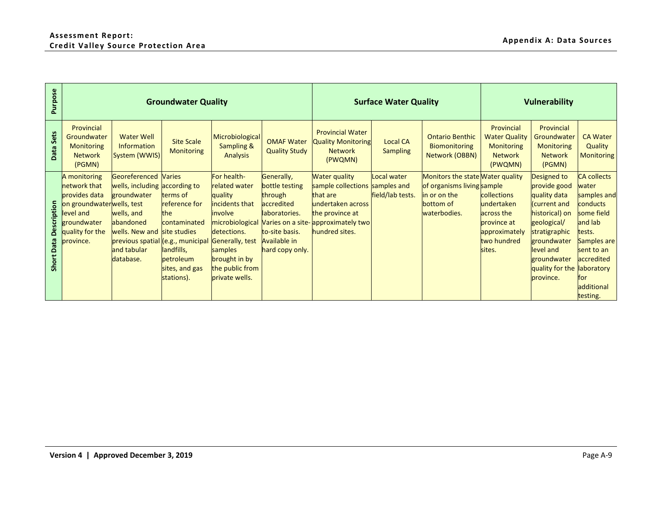| Purpose                       |                                                                                                                                        |                                                                                                                                                                                                          | <b>Groundwater Quality</b>                                                                                                   |                                                                                                                                                      |                                                                                                                                    |                                                                                                                                                                                     | <b>Surface Water Quality</b>       |                                                                                                             | <b>Vulnerability</b>                                                                             |                                                                                                                                                                                          |                                                                                                                                                                                     |
|-------------------------------|----------------------------------------------------------------------------------------------------------------------------------------|----------------------------------------------------------------------------------------------------------------------------------------------------------------------------------------------------------|------------------------------------------------------------------------------------------------------------------------------|------------------------------------------------------------------------------------------------------------------------------------------------------|------------------------------------------------------------------------------------------------------------------------------------|-------------------------------------------------------------------------------------------------------------------------------------------------------------------------------------|------------------------------------|-------------------------------------------------------------------------------------------------------------|--------------------------------------------------------------------------------------------------|------------------------------------------------------------------------------------------------------------------------------------------------------------------------------------------|-------------------------------------------------------------------------------------------------------------------------------------------------------------------------------------|
| Data Sets                     | Provincial<br>Groundwater<br><b>Monitoring</b><br><b>Network</b><br>(PGMN)                                                             | <b>Water Well</b><br>Information<br>System (WWIS)                                                                                                                                                        | <b>Site Scale</b><br><b>Monitoring</b>                                                                                       | Microbiological<br><b>Sampling &amp;</b><br><b>Analysis</b>                                                                                          | <b>OMAF Water</b><br><b>Quality Study</b>                                                                                          | <b>Provincial Water</b><br><b>Quality Monitoring</b><br><b>Network</b><br>(PWQMN)                                                                                                   | <b>Local CA</b><br><b>Sampling</b> | <b>Ontario Benthic</b><br>Biomonitoring<br>Network (OBBN)                                                   | Provincial<br><b>Water Quality</b><br><b>Monitoring</b><br><b>Network</b><br>(PWQMN)             | Provincial<br>Groundwater<br>Monitoring<br><b>Network</b><br>(PGMN)                                                                                                                      | <b>CA Water</b><br>Quality<br><b>Monitoring</b>                                                                                                                                     |
| <b>Short Data Description</b> | A monitoring<br>network that<br>provides data<br>on groundwaterwells, test<br>level and<br>groundwater<br>quality for the<br>province. | Georeferenced<br>wells, including according to<br>groundwater<br>wells, and<br>abandoned<br>wells. New and site studies<br>previous spatial (e.g., municipal Generally, test<br>and tabular<br>database. | <b>Varies</b><br>terms of<br>reference for<br>the<br>contaminated<br>landfills,<br>petroleum<br>sites, and gas<br>stations). | For health-<br>related water<br>quality<br>incidents that<br>involve<br>detections.<br>samples<br>brought in by<br>the public from<br>private wells. | Generally,<br>bottle testing<br>through<br>accredited<br>laboratories.<br>to-site basis.<br><b>Available in</b><br>hard copy only. | <b>Water quality</b><br>sample collections samples and<br>that are<br>undertaken across<br>the province at<br>microbiological Varies on a site- approximately two<br>hundred sites. | Local water<br>field/lab tests.    | Monitors the state Water quality<br>of organisms living sample<br>in or on the<br>bottom of<br>waterbodies. | collections<br>undertaken<br>across the<br>province at<br>approximately<br>two hundred<br>sites. | Designed to<br>provide good<br>quality data<br>(current and<br>historical) on<br>geological/<br>stratigraphic<br>groundwater<br>level and<br>groundwater<br>quality for the<br>province. | <b>CA</b> collects<br>water<br>samples and<br>conducts<br>some field<br>and lab<br>tests.<br>Samples are<br>sent to an<br>accredited<br>laboratory<br>for<br>additional<br>testing. |
|                               |                                                                                                                                        |                                                                                                                                                                                                          |                                                                                                                              |                                                                                                                                                      |                                                                                                                                    |                                                                                                                                                                                     |                                    |                                                                                                             |                                                                                                  |                                                                                                                                                                                          |                                                                                                                                                                                     |
|                               |                                                                                                                                        | Version 4   Approved December 3, 2019                                                                                                                                                                    |                                                                                                                              |                                                                                                                                                      |                                                                                                                                    |                                                                                                                                                                                     |                                    |                                                                                                             |                                                                                                  |                                                                                                                                                                                          | Page A-9                                                                                                                                                                            |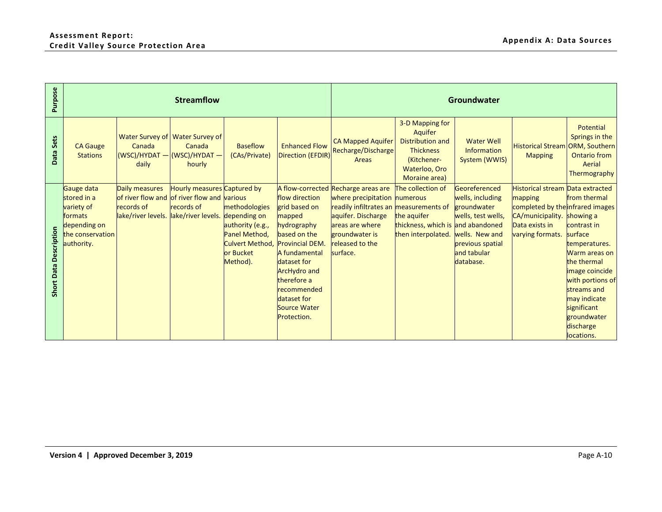| Purpose                |                                                                                                      |                                                                                                   | <b>Streamflow</b>                                                            |                                                                                                       |                                                                                                                                                                                                                                       | Groundwater                                                                                                                                                                                             |                                                                                                                            |                                                                                                                                          |                                                                                                                                                             |                                                                                                                                                                                                            |  |
|------------------------|------------------------------------------------------------------------------------------------------|---------------------------------------------------------------------------------------------------|------------------------------------------------------------------------------|-------------------------------------------------------------------------------------------------------|---------------------------------------------------------------------------------------------------------------------------------------------------------------------------------------------------------------------------------------|---------------------------------------------------------------------------------------------------------------------------------------------------------------------------------------------------------|----------------------------------------------------------------------------------------------------------------------------|------------------------------------------------------------------------------------------------------------------------------------------|-------------------------------------------------------------------------------------------------------------------------------------------------------------|------------------------------------------------------------------------------------------------------------------------------------------------------------------------------------------------------------|--|
| Data Sets              | <b>CA Gauge</b><br><b>Stations</b>                                                                   | Canada<br>$(WSC)/HYDAT - (WSC)/HYDAT -$<br>daily                                                  | Water Survey of Water Survey of<br>Canada<br>hourly                          | <b>Baseflow</b><br>(CAs/Private)                                                                      | <b>Enhanced Flow</b><br><b>Direction (EFDIR)</b>                                                                                                                                                                                      | <b>CA Mapped Aquifer</b><br>Recharge/Discharge<br><b>Areas</b>                                                                                                                                          | 3-D Mapping for<br>Aquifer<br><b>Distribution and</b><br><b>Thickness</b><br>(Kitchener-<br>Waterloo, Oro<br>Moraine area) | <b>Water Well</b><br>Information<br>System (WWIS)                                                                                        | Historical Stream ORM, Southern<br><b>Mapping</b>                                                                                                           | Potential<br>Springs in the<br><b>Ontario from</b><br>Aerial<br>Thermography                                                                                                                               |  |
| Short Data Description | Gauge data<br>stored in a<br>variety of<br>formats<br>depending on<br>the conservation<br>authority. | Daily measures<br>of river flow and of river flow and various<br>records of<br>lake/river levels. | Hourly measures Captured by<br>records of<br>lake/river levels. depending on | methodologies<br>authority (e.g.,<br>Panel Method,<br><b>Culvert Method,</b><br>or Bucket<br>Method). | flow direction<br>grid based on<br>mapped<br>hydrography<br>based on the<br><b>Provincial DEM.</b><br>A fundamental<br>dataset for<br><b>ArcHydro and</b><br>therefore a<br>recommended<br>dataset for<br>Source Water<br>Protection. | A flow-corrected Recharge areas are<br>where precipitation numerous<br>readily infiltrates an measurements of<br>aquifer. Discharge<br>areas are where<br>groundwater is<br>released to the<br>surface. | The collection of<br>the aquifer<br>thickness, which is and abandoned<br>then interpolated.                                | Georeferenced<br>wells, including<br>groundwater<br>wells, test wells,<br>wells. New and<br>previous spatial<br>and tabular<br>database. | Historical stream Data extracted<br>mapping<br>completed by the infrared images<br>CA/municipality. showing a<br>Data exists in<br>varying formats. surface | from thermal<br>contrast in<br>temperatures.<br>Warm areas on<br>the thermal<br>image coincide<br>with portions of<br>streams and<br>may indicate<br>significant<br>groundwater<br>discharge<br>locations. |  |
|                        |                                                                                                      |                                                                                                   |                                                                              |                                                                                                       |                                                                                                                                                                                                                                       |                                                                                                                                                                                                         |                                                                                                                            |                                                                                                                                          |                                                                                                                                                             |                                                                                                                                                                                                            |  |
|                        |                                                                                                      | Version 4   Approved December 3, 2019                                                             |                                                                              |                                                                                                       |                                                                                                                                                                                                                                       |                                                                                                                                                                                                         |                                                                                                                            |                                                                                                                                          |                                                                                                                                                             | Page A-10                                                                                                                                                                                                  |  |